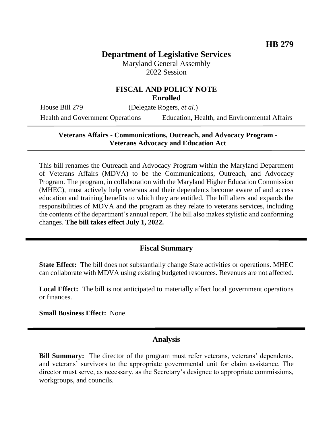# **Department of Legislative Services**

Maryland General Assembly 2022 Session

### **FISCAL AND POLICY NOTE Enrolled**

House Bill 279 (Delegate Rogers, *et al.*)

Health and Government Operations Education, Health, and Environmental Affairs

#### **Veterans Affairs - Communications, Outreach, and Advocacy Program - Veterans Advocacy and Education Act**

This bill renames the Outreach and Advocacy Program within the Maryland Department of Veterans Affairs (MDVA) to be the Communications, Outreach, and Advocacy Program. The program, in collaboration with the Maryland Higher Education Commission (MHEC), must actively help veterans and their dependents become aware of and access education and training benefits to which they are entitled. The bill alters and expands the responsibilities of MDVA and the program as they relate to veterans services, including the contents of the department's annual report. The bill also makes stylistic and conforming changes. **The bill takes effect July 1, 2022.**

## **Fiscal Summary**

**State Effect:** The bill does not substantially change State activities or operations. MHEC can collaborate with MDVA using existing budgeted resources. Revenues are not affected.

**Local Effect:** The bill is not anticipated to materially affect local government operations or finances.

**Small Business Effect:** None.

## **Analysis**

**Bill Summary:** The director of the program must refer veterans, veterans' dependents, and veterans' survivors to the appropriate governmental unit for claim assistance. The director must serve, as necessary, as the Secretary's designee to appropriate commissions, workgroups, and councils.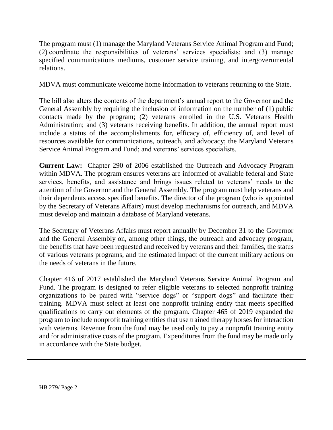The program must (1) manage the Maryland Veterans Service Animal Program and Fund; (2) coordinate the responsibilities of veterans' services specialists; and (3) manage specified communications mediums, customer service training, and intergovernmental relations.

MDVA must communicate welcome home information to veterans returning to the State.

The bill also alters the contents of the department's annual report to the Governor and the General Assembly by requiring the inclusion of information on the number of (1) public contacts made by the program; (2) veterans enrolled in the U.S. Veterans Health Administration; and (3) veterans receiving benefits. In addition, the annual report must include a status of the accomplishments for, efficacy of, efficiency of, and level of resources available for communications, outreach, and advocacy; the Maryland Veterans Service Animal Program and Fund; and veterans' services specialists.

**Current Law:** Chapter 290 of 2006 established the Outreach and Advocacy Program within MDVA. The program ensures veterans are informed of available federal and State services, benefits, and assistance and brings issues related to veterans' needs to the attention of the Governor and the General Assembly. The program must help veterans and their dependents access specified benefits. The director of the program (who is appointed by the Secretary of Veterans Affairs) must develop mechanisms for outreach, and MDVA must develop and maintain a database of Maryland veterans.

The Secretary of Veterans Affairs must report annually by December 31 to the Governor and the General Assembly on, among other things, the outreach and advocacy program, the benefits that have been requested and received by veterans and their families, the status of various veterans programs, and the estimated impact of the current military actions on the needs of veterans in the future.

Chapter 416 of 2017 established the Maryland Veterans Service Animal Program and Fund. The program is designed to refer eligible veterans to selected nonprofit training organizations to be paired with "service dogs" or "support dogs" and facilitate their training. MDVA must select at least one nonprofit training entity that meets specified qualifications to carry out elements of the program. Chapter 465 of 2019 expanded the program to include nonprofit training entities that use trained therapy horses for interaction with veterans. Revenue from the fund may be used only to pay a nonprofit training entity and for administrative costs of the program. Expenditures from the fund may be made only in accordance with the State budget.